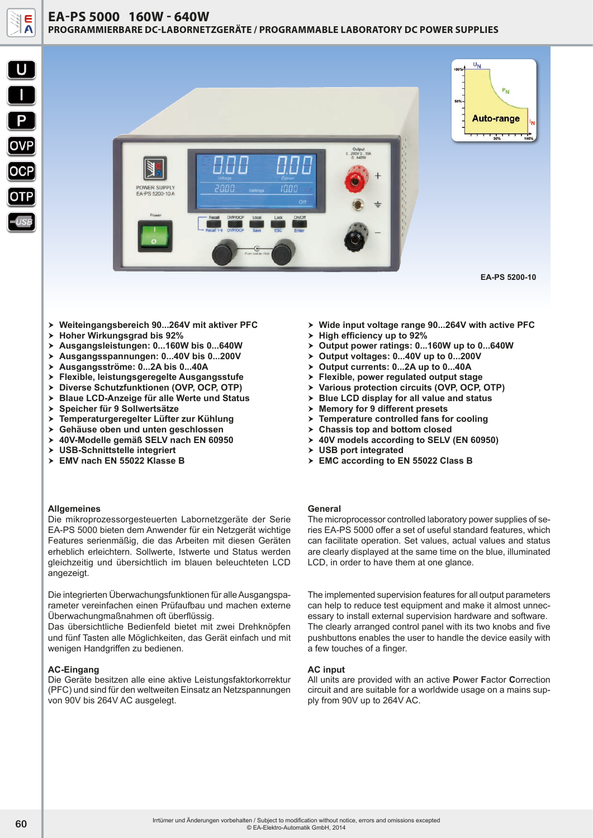





**EA-PS 5200-10**

- > Weiteingangsbereich 90...264V mit aktiver PFC
- > Hoher Wirkungsgrad bis 92%
- h **Ausgangsleistungen: 0...160W bis 0...640W**
- h **Ausgangsspannungen: 0...40V bis 0...200V**
- h **Ausgangsströme: 0...2A bis 0...40A**
- h **Flexible, leistungsgeregelte Ausgangsstufe**
- h **Diverse Schutzfunktionen (OVP, OCP, OTP)**
- h **Blaue LCD-Anzeige für alle Werte und Status**
- h **Speicher für 9 Sollwertsätze**
- h **Temperaturgeregelter Lüfter zur Kühlung**
- h **Gehäuse oben und unten geschlossen**
- h **40V-Modelle gemäß SELV nach EN 60950**
- > USB-Schnittstelle integriert
- > EMV nach EN 55022 Klasse B

### **Allgemeines**

Die mikroprozessorgesteuerten Labornetzgeräte der Serie EA-PS 5000 bieten dem Anwender für ein Netzgerät wichtige Features serienmäßig, die das Arbeiten mit diesen Geräten erheblich erleichtern. Sollwerte, Istwerte und Status werden gleichzeitig und übersichtlich im blauen beleuchteten LCD angezeigt.

Die integrierten Überwachungsfunktionen für alle Ausgangsparameter vereinfachen einen Prüfaufbau und machen externe Überwachungmaßnahmen oft überflüssig.

Das übersichtliche Bedienfeld bietet mit zwei Drehknöpfen und fünf Tasten alle Möglichkeiten, das Gerät einfach und mit wenigen Handgriffen zu bedienen.

# **AC-Eingang**

Die Geräte besitzen alle eine aktive Leistungsfaktorkorrektur (PFC) und sind für den weltweiten Einsatz an Netzspannungen von 90V bis 264V AC ausgelegt.

- > Wide input voltage range 90...264V with active PFC
- > High efficiency up to 92%
- > Output power ratings: 0...160W up to 0...640W
- > Output voltages: 0...40V up to 0...200V
- > Output currents: 0...2A up to 0...40A
- $\triangleright$  Flexible, power regulated output stage
- h **Various protection circuits (OVP, OCP, OTP)**
- h **Blue LCD display for all value and status**
- > Memory for 9 different presets
- $\triangleright$  Temperature controlled fans for cooling
- > Chassis top and bottom closed
- > 40V models according to SELV (EN 60950)
- > USB port integrated
- > EMC according to EN 55022 Class B

# **General**

The microprocessor controlled laboratory power supplies of series EA-PS 5000 offer a set of useful standard features, which can facilitate operation. Set values, actual values and status are clearly displayed at the same time on the blue, illuminated LCD, in order to have them at one glance.

The implemented supervision features for all output parameters can help to reduce test equipment and make it almost unnecessary to install external supervision hardware and software. The clearly arranged control panel with its two knobs and five pushbuttons enables the user to handle the device easily with a few touches of a finger.

#### **AC input**

All units are provided with an active **P**ower **F**actor **C**orrection circuit and are suitable for a worldwide usage on a mains supply from 90V up to 264V AC.

Irrtümer und Änderungen vorbehalten / Subject to modification without notice, errors and omissions excepted **60**<br>
© EA-Elektro-Automatik GmbH, 2014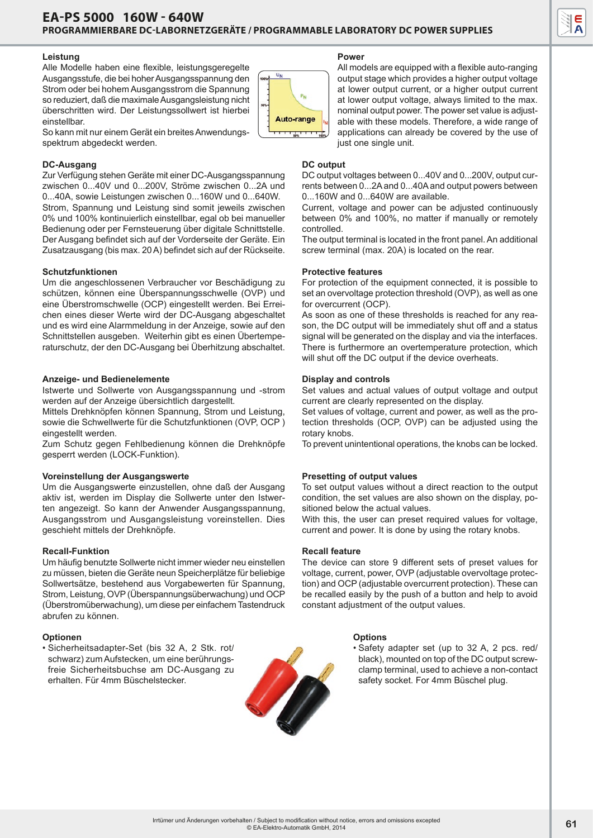# **Leistung**

Alle Modelle haben eine flexible, leistungsgeregelte Ausgangsstufe, die bei hoher Ausgangsspannung den Strom oder bei hohem Ausgangsstrom die Spannung so reduziert, daß die maximale Ausgangsleistung nicht überschritten wird. Der Leistungssollwert ist hierbei einstellbar.



So kann mit nur einem Gerät ein breites Anwendungsspektrum abgedeckt werden.

# **DC-Ausgang**

Zur Verfügung stehen Geräte mit einer DC-Ausgangsspannung zwischen 0...40V und 0...200V, Ströme zwischen 0...2A und 0...40A, sowie Leistungen zwischen 0...160W und 0...640W. Strom, Spannung und Leistung sind somit jeweils zwischen 0% und 100% kontinuierlich einstellbar, egal ob bei manueller Bedienung oder per Fernsteuerung über digitale Schnittstelle. Der Ausgang befindet sich auf der Vorderseite der Geräte. Ein Zusatzausgang (bis max. 20 A) befindet sich auf der Rückseite.

# **Schutzfunktionen**

Um die angeschlossenen Verbraucher vor Beschädigung zu schützen, können eine Überspannungsschwelle (OVP) und eine Überstromschwelle (OCP) eingestellt werden. Bei Erreichen eines dieser Werte wird der DC-Ausgang abgeschaltet und es wird eine Alarmmeldung in der Anzeige, sowie auf den Schnittstellen ausgeben. Weiterhin gibt es einen Übertemperaturschutz, der den DC-Ausgang bei Überhitzung abschaltet.

### **Anzeige- und Bedienelemente**

Istwerte und Sollwerte von Ausgangsspannung und -strom werden auf der Anzeige übersichtlich dargestellt.

Mittels Drehknöpfen können Spannung, Strom und Leistung, sowie die Schwellwerte für die Schutzfunktionen (OVP, OCP ) eingestellt werden.

Zum Schutz gegen Fehlbedienung können die Drehknöpfe gesperrt werden (LOCK-Funktion).

#### **Voreinstellung der Ausgangswerte**

Um die Ausgangswerte einzustellen, ohne daß der Ausgang aktiv ist, werden im Display die Sollwerte unter den Istwerten angezeigt. So kann der Anwender Ausgangsspannung, Ausgangsstrom und Ausgangsleistung voreinstellen. Dies geschieht mittels der Drehknöpfe.

### **Recall-Funktion**

Um häufig benutzte Sollwerte nicht immer wieder neu einstellen zu müssen, bieten die Geräte neun Speicherplätze für beliebige Sollwertsätze, bestehend aus Vorgabewerten für Spannung, Strom, Leistung, OVP (Überspannungsüberwachung) und OCP (Überstromüberwachung), um diese per einfachem Tastendruck abrufen zu können.

#### **Optionen**

• Sicherheitsadapter-Set (bis 32 A, 2 Stk. rot/ schwarz) zum Aufstecken, um eine berührungsfreie Sicherheitsbuchse am DC-Ausgang zu erhalten. Für 4mm Büschelstecker.

#### **Power**

All models are equipped with a flexible auto-ranging output stage which provides a higher output voltage at lower output current, or a higher output current at lower output voltage, always limited to the max. nominal output power. The power set value is adjustable with these models. Therefore, a wide range of applications can already be covered by the use of just one single unit.

## **DC output**

DC output voltages between 0...40V and 0...200V, output currents between 0...2A and 0...40A and output powers between 0...160W and 0...640W are available.

Current, voltage and power can be adjusted continuously between 0% and 100%, no matter if manually or remotely controlled.

The output terminal is located in the front panel. An additional screw terminal (max. 20A) is located on the rear.

#### **Protective features**

For protection of the equipment connected, it is possible to set an overvoltage protection threshold (OVP), as well as one for overcurrent (OCP).

As soon as one of these thresholds is reached for any reason, the DC output will be immediately shut off and a status signal will be generated on the display and via the interfaces. There is furthermore an overtemperature protection, which will shut off the DC output if the device overheats.

### **Display and controls**

Set values and actual values of output voltage and output current are clearly represented on the display.

Set values of voltage, current and power, as well as the protection thresholds (OCP, OVP) can be adjusted using the rotary knobs.

To prevent unintentional operations, the knobs can be locked.

## **Presetting of output values**

To set output values without a direct reaction to the output condition, the set values are also shown on the display, positioned below the actual values.

With this, the user can preset required values for voltage, current and power. It is done by using the rotary knobs.

#### **Recall feature**

The device can store 9 different sets of preset values for voltage, current, power, OVP (adjustable overvoltage protection) and OCP (adjustable overcurrent protection). These can be recalled easily by the push of a button and help to avoid constant adjustment of the output values.

#### **Options**

• Safety adapter set (up to 32 A, 2 pcs. red/ black), mounted on top of the DC output screwclamp terminal, used to achieve a non-contact safety socket. For 4mm Büschel plug.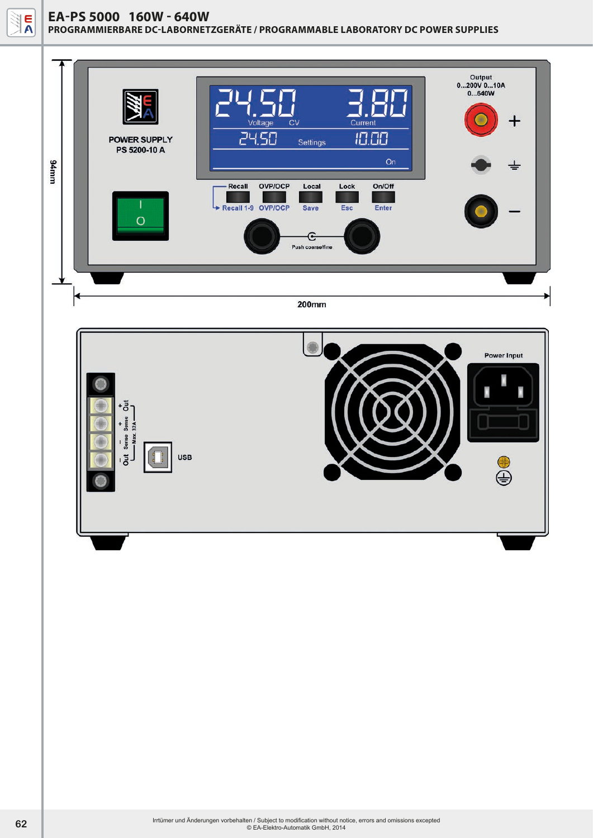